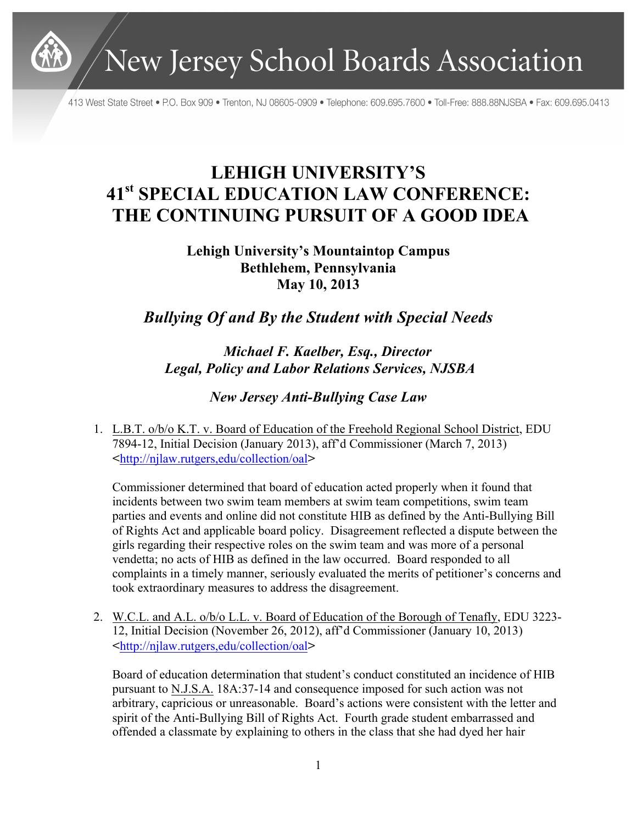

New Jersey School Boards Association

413 West State Street • P.O. Box 909 • Trenton, NJ 08605-0909 • Telephone: 609.695.7600 • Toll-Free: 888.88NJSBA • Fax: 609.695.0413

## **LEHIGH UNIVERSITY'S 41st SPECIAL EDUCATION LAW CONFERENCE: THE CONTINUING PURSUIT OF A GOOD IDEA**

## **Lehigh University's Mountaintop Campus Bethlehem, Pennsylvania May 10, 2013**

*Bullying Of and By the Student with Special Needs*

*Michael F. Kaelber, Esq., Director Legal, Policy and Labor Relations Services, NJSBA*

*New Jersey Anti-Bullying Case Law*

1. L.B.T. o/b/o K.T. v. Board of Education of the Freehold Regional School District, EDU 7894-12, Initial Decision (January 2013), aff'd Commissioner (March 7, 2013) <http://njlaw.rutgers,edu/collection/oal>

Commissioner determined that board of education acted properly when it found that incidents between two swim team members at swim team competitions, swim team parties and events and online did not constitute HIB as defined by the Anti-Bullying Bill of Rights Act and applicable board policy. Disagreement reflected a dispute between the girls regarding their respective roles on the swim team and was more of a personal vendetta; no acts of HIB as defined in the law occurred. Board responded to all complaints in a timely manner, seriously evaluated the merits of petitioner's concerns and took extraordinary measures to address the disagreement.

2. W.C.L. and A.L. o/b/o L.L. v. Board of Education of the Borough of Tenafly, EDU 3223- 12, Initial Decision (November 26, 2012), aff'd Commissioner (January 10, 2013) <http://njlaw.rutgers,edu/collection/oal>

Board of education determination that student's conduct constituted an incidence of HIB pursuant to N.J.S.A. 18A:37-14 and consequence imposed for such action was not arbitrary, capricious or unreasonable. Board's actions were consistent with the letter and spirit of the Anti-Bullying Bill of Rights Act. Fourth grade student embarrassed and offended a classmate by explaining to others in the class that she had dyed her hair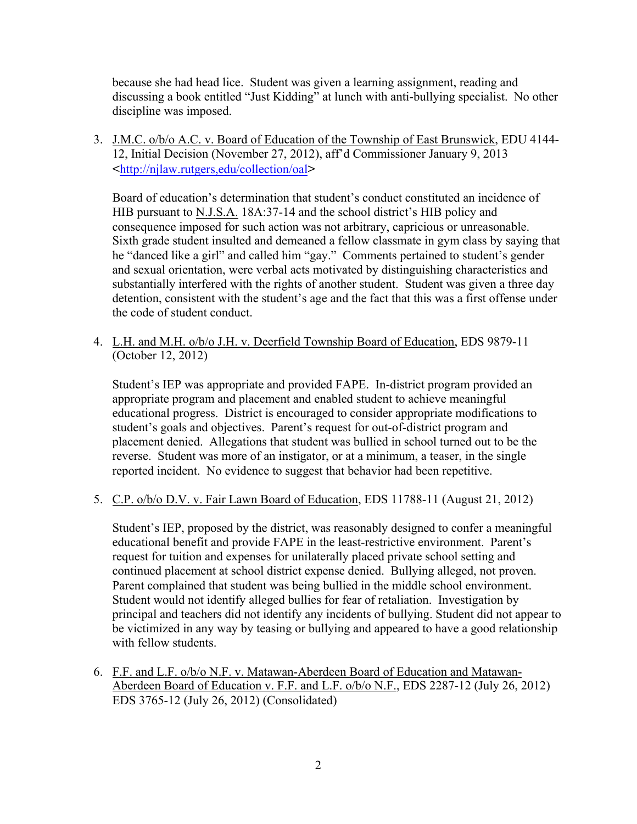because she had head lice. Student was given a learning assignment, reading and discussing a book entitled "Just Kidding" at lunch with anti-bullying specialist. No other discipline was imposed.

3. J.M.C. o/b/o A.C. v. Board of Education of the Township of East Brunswick, EDU 4144- 12, Initial Decision (November 27, 2012), aff'd Commissioner January 9, 2013 <http://njlaw.rutgers,edu/collection/oal>

Board of education's determination that student's conduct constituted an incidence of HIB pursuant to N.J.S.A. 18A:37-14 and the school district's HIB policy and consequence imposed for such action was not arbitrary, capricious or unreasonable. Sixth grade student insulted and demeaned a fellow classmate in gym class by saying that he "danced like a girl" and called him "gay." Comments pertained to student's gender and sexual orientation, were verbal acts motivated by distinguishing characteristics and substantially interfered with the rights of another student. Student was given a three day detention, consistent with the student's age and the fact that this was a first offense under the code of student conduct.

4. L.H. and M.H. o/b/o J.H. v. Deerfield Township Board of Education, EDS 9879-11 (October 12, 2012)

Student's IEP was appropriate and provided FAPE. In-district program provided an appropriate program and placement and enabled student to achieve meaningful educational progress. District is encouraged to consider appropriate modifications to student's goals and objectives. Parent's request for out-of-district program and placement denied. Allegations that student was bullied in school turned out to be the reverse. Student was more of an instigator, or at a minimum, a teaser, in the single reported incident. No evidence to suggest that behavior had been repetitive.

5. C.P. o/b/o D.V. v. Fair Lawn Board of Education, EDS 11788-11 (August 21, 2012)

Student's IEP, proposed by the district, was reasonably designed to confer a meaningful educational benefit and provide FAPE in the least-restrictive environment. Parent's request for tuition and expenses for unilaterally placed private school setting and continued placement at school district expense denied. Bullying alleged, not proven. Parent complained that student was being bullied in the middle school environment. Student would not identify alleged bullies for fear of retaliation. Investigation by principal and teachers did not identify any incidents of bullying. Student did not appear to be victimized in any way by teasing or bullying and appeared to have a good relationship with fellow students.

6. F.F. and L.F. o/b/o N.F. v. Matawan-Aberdeen Board of Education and Matawan-Aberdeen Board of Education v. F.F. and L.F. o/b/o N.F., EDS 2287-12 (July 26, 2012) EDS 3765-12 (July 26, 2012) (Consolidated)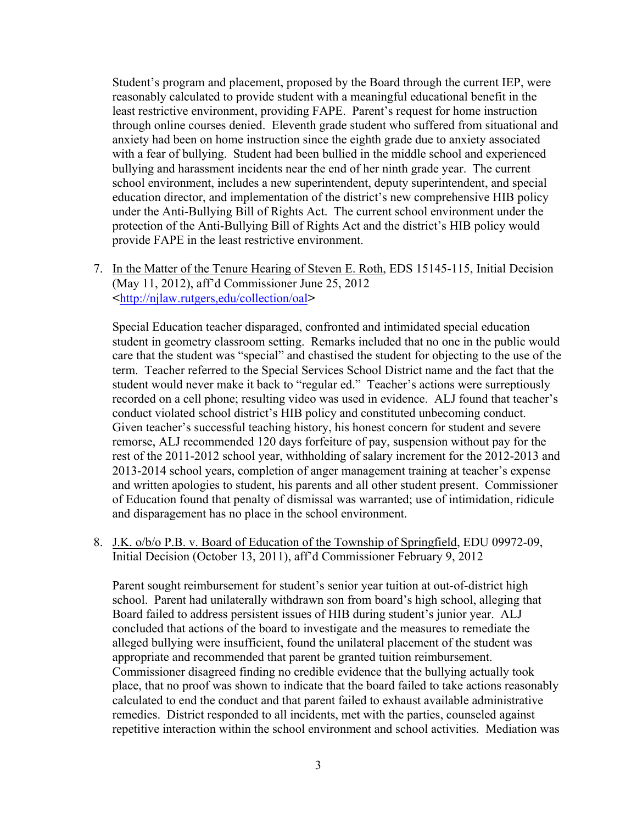Student's program and placement, proposed by the Board through the current IEP, were reasonably calculated to provide student with a meaningful educational benefit in the least restrictive environment, providing FAPE. Parent's request for home instruction through online courses denied. Eleventh grade student who suffered from situational and anxiety had been on home instruction since the eighth grade due to anxiety associated with a fear of bullying. Student had been bullied in the middle school and experienced bullying and harassment incidents near the end of her ninth grade year. The current school environment, includes a new superintendent, deputy superintendent, and special education director, and implementation of the district's new comprehensive HIB policy under the Anti-Bullying Bill of Rights Act. The current school environment under the protection of the Anti-Bullying Bill of Rights Act and the district's HIB policy would provide FAPE in the least restrictive environment.

7. In the Matter of the Tenure Hearing of Steven E. Roth, EDS 15145-115, Initial Decision (May 11, 2012), aff'd Commissioner June 25, 2012 <http://njlaw.rutgers,edu/collection/oal>

Special Education teacher disparaged, confronted and intimidated special education student in geometry classroom setting. Remarks included that no one in the public would care that the student was "special" and chastised the student for objecting to the use of the term. Teacher referred to the Special Services School District name and the fact that the student would never make it back to "regular ed." Teacher's actions were surreptiously recorded on a cell phone; resulting video was used in evidence. ALJ found that teacher's conduct violated school district's HIB policy and constituted unbecoming conduct. Given teacher's successful teaching history, his honest concern for student and severe remorse, ALJ recommended 120 days forfeiture of pay, suspension without pay for the rest of the 2011-2012 school year, withholding of salary increment for the 2012-2013 and 2013-2014 school years, completion of anger management training at teacher's expense and written apologies to student, his parents and all other student present. Commissioner of Education found that penalty of dismissal was warranted; use of intimidation, ridicule and disparagement has no place in the school environment.

8. J.K. o/b/o P.B. v. Board of Education of the Township of Springfield, EDU 09972-09, Initial Decision (October 13, 2011), aff'd Commissioner February 9, 2012

Parent sought reimbursement for student's senior year tuition at out-of-district high school. Parent had unilaterally withdrawn son from board's high school, alleging that Board failed to address persistent issues of HIB during student's junior year. ALJ concluded that actions of the board to investigate and the measures to remediate the alleged bullying were insufficient, found the unilateral placement of the student was appropriate and recommended that parent be granted tuition reimbursement. Commissioner disagreed finding no credible evidence that the bullying actually took place, that no proof was shown to indicate that the board failed to take actions reasonably calculated to end the conduct and that parent failed to exhaust available administrative remedies. District responded to all incidents, met with the parties, counseled against repetitive interaction within the school environment and school activities. Mediation was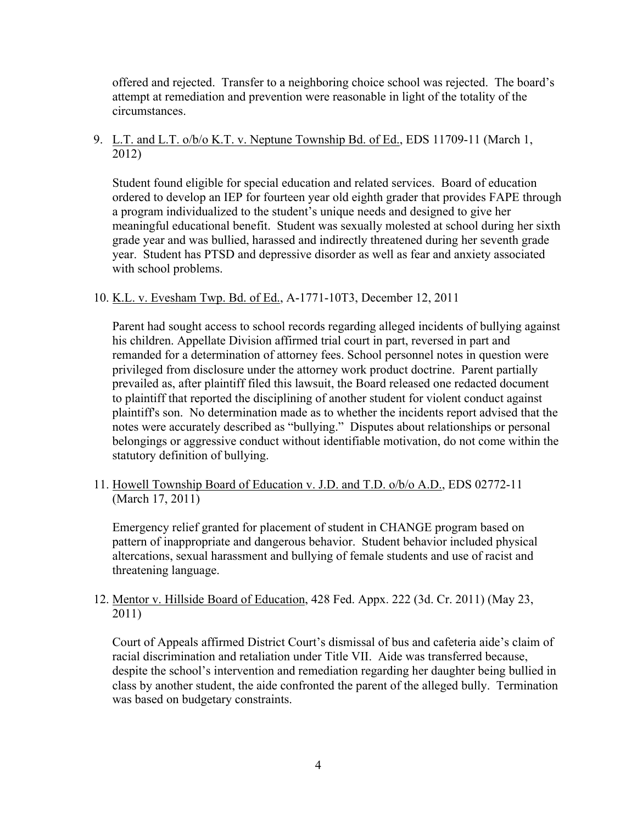offered and rejected. Transfer to a neighboring choice school was rejected. The board's attempt at remediation and prevention were reasonable in light of the totality of the circumstances.

9. L.T. and L.T. o/b/o K.T. v. Neptune Township Bd. of Ed., EDS 11709-11 (March 1, 2012)

Student found eligible for special education and related services. Board of education ordered to develop an IEP for fourteen year old eighth grader that provides FAPE through a program individualized to the student's unique needs and designed to give her meaningful educational benefit. Student was sexually molested at school during her sixth grade year and was bullied, harassed and indirectly threatened during her seventh grade year. Student has PTSD and depressive disorder as well as fear and anxiety associated with school problems.

10. K.L. v. Evesham Twp. Bd. of Ed., A-1771-10T3, December 12, 2011

Parent had sought access to school records regarding alleged incidents of bullying against his children. Appellate Division affirmed trial court in part, reversed in part and remanded for a determination of attorney fees. School personnel notes in question were privileged from disclosure under the attorney work product doctrine. Parent partially prevailed as, after plaintiff filed this lawsuit, the Board released one redacted document to plaintiff that reported the disciplining of another student for violent conduct against plaintiff's son. No determination made as to whether the incidents report advised that the notes were accurately described as "bullying." Disputes about relationships or personal belongings or aggressive conduct without identifiable motivation, do not come within the statutory definition of bullying.

11. Howell Township Board of Education v. J.D. and T.D. o/b/o A.D., EDS 02772-11 (March 17, 2011)

Emergency relief granted for placement of student in CHANGE program based on pattern of inappropriate and dangerous behavior. Student behavior included physical altercations, sexual harassment and bullying of female students and use of racist and threatening language.

12. Mentor v. Hillside Board of Education, 428 Fed. Appx. 222 (3d. Cr. 2011) (May 23, 2011)

Court of Appeals affirmed District Court's dismissal of bus and cafeteria aide's claim of racial discrimination and retaliation under Title VII. Aide was transferred because, despite the school's intervention and remediation regarding her daughter being bullied in class by another student, the aide confronted the parent of the alleged bully. Termination was based on budgetary constraints.